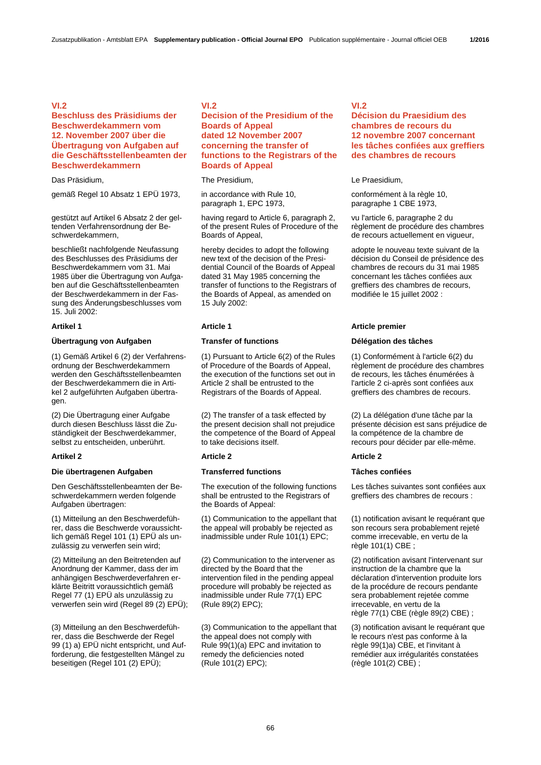## **VI.2**

## **Beschluss des Präsidiums der Beschwerdekammern vom 12. November 2007 über die Übertragung von Aufgaben auf die Geschäftsstellenbeamten der Beschwerdekammern**

Das Präsidium, The Presidium, Le Praesidium,

gemäß Regel 10 Absatz 1 EPÜ 1973, in accordance with Rule 10,

gestützt auf Artikel 6 Absatz 2 der geltenden Verfahrensordnung der Beschwerdekammern,

beschließt nachfolgende Neufassung des Beschlusses des Präsidiums der Beschwerdekammern vom 31. Mai 1985 über die Übertragung von Aufgaben auf die Geschäftsstellenbeamten der Beschwerdekammern in der Fassung des Änderungsbeschlusses vom 15. Juli 2002:

### **Übertragung von Aufgaben Transfer of functions Délégation des tâches**

(1) Gemäß Artikel 6 (2) der Verfahrensordnung der Beschwerdekammern werden den Geschäftsstellenbeamten der Beschwerdekammern die in Artikel 2 aufgeführten Aufgaben übertragen.

(2) Die Übertragung einer Aufgabe durch diesen Beschluss lässt die Zuständigkeit der Beschwerdekammer, selbst zu entscheiden, unberührt.

### **Die übertragenen Aufgaben Transferred functions Tâches confiées**

Den Geschäftsstellenbeamten der Beschwerdekammern werden folgende Aufgaben übertragen:

(1) Mitteilung an den Beschwerdeführer, dass die Beschwerde voraussichtlich gemäß Regel 101 (1) EPÜ als unzulässig zu verwerfen sein wird;

(2) Mitteilung an den Beitretenden auf Anordnung der Kammer, dass der im anhängigen Beschwerdeverfahren erklärte Beitritt voraussichtlich gemäß Regel 77 (1) EPÜ als unzulässig zu verwerfen sein wird (Regel 89 (2) EPÜ);

(3) Mitteilung an den Beschwerdeführer, dass die Beschwerde der Regel 99 (1) a) EPÜ nicht entspricht, und Aufforderung, die festgestellten Mängel zu beseitigen (Regel 101 (2) EPÜ);

## **VI.2**

## **Decision of the Presidium of the Boards of Appeal dated 12 November 2007 concerning the transfer of functions to the Registrars of the Boards of Appeal**

paragraph 1, EPC 1973,

 having regard to Article 6, paragraph 2, of the present Rules of Procedure of the Boards of Appeal,

 hereby decides to adopt the following new text of the decision of the Presidential Council of the Boards of Appeal dated 31 May 1985 concerning the transfer of functions to the Registrars of the Boards of Appeal, as amended on 15 July 2002:

 (1) Pursuant to Article 6(2) of the Rules of Procedure of the Boards of Appeal, the execution of the functions set out in Article 2 shall be entrusted to the Registrars of the Boards of Appeal.

 (2) The transfer of a task effected by the present decision shall not prejudice the competence of the Board of Appeal to take decisions itself.

### **Artikel 2 Article 2 Article 2**

 The execution of the following functions shall be entrusted to the Registrars of the Boards of Appeal:

 (1) Communication to the appellant that the appeal will probably be rejected as inadmissible under Rule 101(1) EPC;

 (2) Communication to the intervener as directed by the Board that the intervention filed in the pending appeal procedure will probably be rejected as inadmissible under Rule 77(1) EPC (Rule 89(2) EPC);

 (3) Communication to the appellant that the appeal does not comply with Rule 99(1)(a) EPC and invitation to remedy the deficiencies noted (Rule 101(2) EPC);

## **VI.2**

# **Décision du Praesidium des chambres de recours du 12 novembre 2007 concernant les tâches confiées aux greffiers des chambres de recours**

 conformément à la règle 10, paragraphe 1 CBE 1973,

 vu l'article 6, paragraphe 2 du règlement de procédure des chambres de recours actuellement en vigueur,

 adopte le nouveau texte suivant de la décision du Conseil de présidence des chambres de recours du 31 mai 1985 concernant les tâches confiées aux greffiers des chambres de recours, modifiée le 15 juillet 2002 :

### **Artikel 1 Article 1 Article premier**

 (1) Conformément à l'article 6(2) du règlement de procédure des chambres de recours, les tâches énumérées à l'article 2 ci-après sont confiées aux greffiers des chambres de recours.

 (2) La délégation d'une tâche par la présente décision est sans préjudice de la compétence de la chambre de recours pour décider par elle-même.

 Les tâches suivantes sont confiées aux greffiers des chambres de recours :

 (1) notification avisant le requérant que son recours sera probablement rejeté comme irrecevable, en vertu de la règle 101(1) CBE ;

 (2) notification avisant l'intervenant sur instruction de la chambre que la déclaration d'intervention produite lors de la procédure de recours pendante sera probablement rejetée comme irrecevable, en vertu de la règle 77(1) CBE (règle 89(2) CBE) ;

 (3) notification avisant le requérant que le recours n'est pas conforme à la règle 99(1)a) CBE, et l'invitant à remédier aux irrégularités constatées (règle 101(2) CBE) ;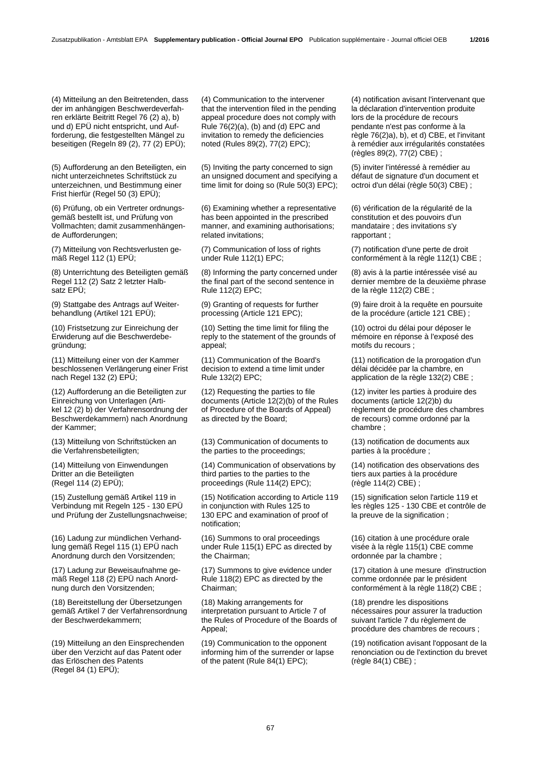(4) Mitteilung an den Beitretenden, dass der im anhängigen Beschwerdeverfahren erklärte Beitritt Regel 76 (2) a), b) und d) EPÜ nicht entspricht, und Aufforderung, die festgestellten Mängel zu beseitigen (Regeln 89 (2), 77 (2) EPÜ);

(5) Aufforderung an den Beteiligten, ein nicht unterzeichnetes Schriftstück zu unterzeichnen, und Bestimmung einer Frist hierfür (Regel 50 (3) EPÜ);

(6) Prüfung, ob ein Vertreter ordnungsgemäß bestellt ist, und Prüfung von Vollmachten; damit zusammenhängende Aufforderungen;

(7) Mitteilung von Rechtsverlusten gemäß Regel 112 (1) EPÜ;

(8) Unterrichtung des Beteiligten gemäß Regel 112 (2) Satz 2 letzter Halbsatz EPÜ;

(9) Stattgabe des Antrags auf Weiterbehandlung (Artikel 121 EPÜ);

(10) Fristsetzung zur Einreichung der Erwiderung auf die Beschwerdebegründung;

(11) Mitteilung einer von der Kammer beschlossenen Verlängerung einer Frist nach Regel 132 (2) EPÜ;

(12) Aufforderung an die Beteiligten zur Einreichung von Unterlagen (Artikel 12 (2) b) der Verfahrensordnung der Beschwerdekammern) nach Anordnung der Kammer;

(13) Mitteilung von Schriftstücken an die Verfahrensbeteiligten;

(14) Mitteilung von Einwendungen Dritter an die Beteiligten (Regel 114 (2) EPÜ);

(15) Zustellung gemäß Artikel 119 in Verbindung mit Regeln 125 - 130 EPÜ und Prüfung der Zustellungsnachweise;

(16) Ladung zur mündlichen Verhandlung gemäß Regel 115 (1) EPÜ nach Anordnung durch den Vorsitzenden;

(17) Ladung zur Beweisaufnahme gemäß Regel 118 (2) EPÜ nach Anordnung durch den Vorsitzenden;

(18) Bereitstellung der Übersetzungen gemäß Artikel 7 der Verfahrensordnung der Beschwerdekammern;

(19) Mitteilung an den Einsprechenden über den Verzicht auf das Patent oder das Erlöschen des Patents (Regel 84 (1) EPÜ);

 (4) Communication to the intervener that the intervention filed in the pending appeal procedure does not comply with Rule 76(2)(a), (b) and (d) EPC and invitation to remedy the deficiencies noted (Rules 89(2), 77(2) EPC);

 (5) Inviting the party concerned to sign an unsigned document and specifying a time limit for doing so (Rule 50(3) EPC);

 (6) Examining whether a representative has been appointed in the prescribed manner, and examining authorisations; related invitations;

 (7) Communication of loss of rights under Rule 112(1) EPC;

 (8) Informing the party concerned under the final part of the second sentence in Rule 112(2) EPC;

 (9) Granting of requests for further processing (Article 121 EPC);

 (10) Setting the time limit for filing the reply to the statement of the grounds of appeal;

 (11) Communication of the Board's decision to extend a time limit under Rule 132(2) EPC;

 (12) Requesting the parties to file documents (Article 12(2)(b) of the Rules of Procedure of the Boards of Appeal) as directed by the Board;

 (13) Communication of documents to the parties to the proceedings;

 (14) Communication of observations by third parties to the parties to the proceedings (Rule 114(2) EPC);

 (15) Notification according to Article 119 in conjunction with Rules 125 to 130 EPC and examination of proof of notification;

 (16) Summons to oral proceedings under Rule 115(1) EPC as directed by the Chairman;

 (17) Summons to give evidence under Rule 118(2) EPC as directed by the Chairman;

 (18) Making arrangements for interpretation pursuant to Article 7 of the Rules of Procedure of the Boards of Appeal;

 (19) Communication to the opponent informing him of the surrender or lapse of the patent (Rule 84(1) EPC);

 (4) notification avisant l'intervenant que la déclaration d'intervention produite lors de la procédure de recours pendante n'est pas conforme à la règle 76(2)a), b), et d) CBE, et l'invitant à remédier aux irrégularités constatées (règles 89(2), 77(2) CBE) ;

 (5) inviter l'intéressé à remédier au défaut de signature d'un document et octroi d'un délai (règle 50(3) CBE) ;

 (6) vérification de la régularité de la constitution et des pouvoirs d'un mandataire ; des invitations s'y rapportant ;

 (7) notification d'une perte de droit conformément à la règle 112(1) CBE ;

 (8) avis à la partie intéressée visé au dernier membre de la deuxième phrase de la règle 112(2) CBE ;

 (9) faire droit à la requête en poursuite de la procédure (article 121 CBE) ;

 (10) octroi du délai pour déposer le mémoire en réponse à l'exposé des motifs du recours ;

 (11) notification de la prorogation d'un délai décidée par la chambre, en application de la règle 132(2) CBE ;

 (12) inviter les parties à produire des documents (article 12(2)b) du règlement de procédure des chambres de recours) comme ordonné par la chambre ;

 (13) notification de documents aux parties à la procédure ;

 (14) notification des observations des tiers aux parties à la procédure (règle 114(2) CBE) ;

 (15) signification selon l'article 119 et les règles 125 - 130 CBE et contrôle de la preuve de la signification ;

 (16) citation à une procédure orale visée à la règle 115(1) CBE comme ordonnée par la chambre ;

 (17) citation à une mesure d'instruction comme ordonnée par le président conformément à la règle 118(2) CBE ;

 (18) prendre les dispositions nécessaires pour assurer la traduction suivant l'article 7 du règlement de procédure des chambres de recours ;

 (19) notification avisant l'opposant de la renonciation ou de l'extinction du brevet (règle 84(1) CBE) ;